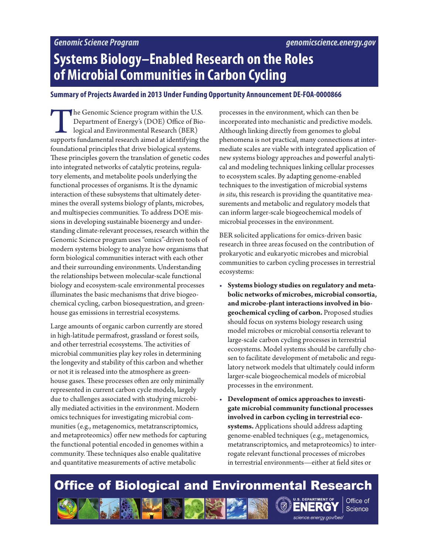## **Systems Biology–Enabled Research on the Roles of Microbial Communities in Carbon Cycling**

#### **Summary of Projects Awarded in 2013 Under Funding Opportunity Announcement DE-FOA-0000866**

The Genomic Science program within the U.S.<br>
Department of Energy's (DOE) Office of Bio-<br>
logical and Environmental Research (BER)<br>
supports fundamental research aimed at identifying the Department of Energy's (DOE) Office of Biological and Environmental Research (BER) foundational principles that drive biological systems. These principles govern the translation of genetic codes into integrated networks of catalytic proteins, regulatory elements, and metabolite pools underlying the functional processes of organisms. It is the dynamic interaction of these subsystems that ultimately determines the overall systems biology of plants, microbes, and multispecies communities. To address DOE missions in developing sustainable bioenergy and understanding climate-relevant processes, research within the Genomic Science program uses "omics"-driven tools of modern systems biology to analyze how organisms that form biological communities interact with each other and their surrounding environments. Understanding the relationships between molecular-scale functional biology and ecosystem-scale environmental processes illuminates the basic mechanisms that drive biogeochemical cycling, carbon biosequestration, and greenhouse gas emissions in terrestrial ecosystems.

Large amounts of organic carbon currently are stored in high-latitude permafrost, grassland or forest soils, and other terrestrial ecosystems. The activities of microbial communities play key roles in determining the longevity and stability of this carbon and whether or not it is released into the atmosphere as greenhouse gases. These processes often are only minimally represented in current carbon cycle models, largely due to challenges associated with studying microbially mediated activities in the environment. Modern omics techniques for investigating microbial communities (e.g., metagenomics, metatranscriptomics, and metaproteomics) offer new methods for capturing the functional potential encoded in genomes within a community. These techniques also enable qualitative and quantitative measurements of active metabolic

processes in the environment, which can then be incorporated into mechanistic and predictive models. Although linking directly from genomes to global phenomena is not practical, many connections at intermediate scales are viable with integrated application of new systems biology approaches and powerful analytical and modeling techniques linking cellular processes to ecosystem scales. By adapting genome-enabled techniques to the investigation of microbial systems *in situ*, this research is providing the quantitative measurements and metabolic and regulatory models that can inform larger-scale biogeochemical models of microbial processes in the environment.

BER solicited applications for omics-driven basic research in three areas focused on the contribution of prokaryotic and eukaryotic microbes and microbial communities to carbon cycling processes in terrestrial ecosystems:

- **Systems biology studies on regulatory and metabolic networks of microbes, microbial consortia, and microbe-plant interactions involved in biogeochemical cycling of carbon.** Proposed studies should focus on systems biology research using model microbes or microbial consortia relevant to large-scale carbon cycling processes in terrestrial ecosystems. Model systems should be carefully chosen to facilitate development of metabolic and regulatory network models that ultimately could inform larger-scale biogeochemical models of microbial processes in the environment.
- **Development of omics approaches to investigate microbial community functional processes involved in carbon cycling in terrestrial ecosystems.** Applications should address adapting genome-enabled techniques (e.g., metagenomics, metatranscriptomics, and metaproteomics) to interrogate relevant functional processes of microbes in terrestrial environments—either at field sites or

science energy gov/ber/

ERG

Office of

**Science** 

# **Office of Biological and Environmental Research**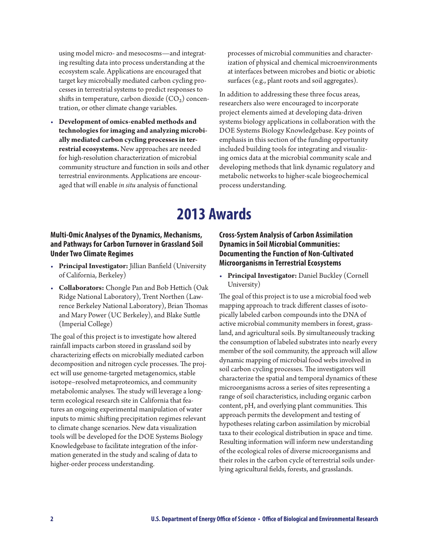using model micro- and mesocosms—and integrating resulting data into process understanding at the ecosystem scale. Applications are encouraged that target key microbially mediated carbon cycling processes in terrestrial systems to predict responses to shifts in temperature, carbon dioxide  $(CO<sub>2</sub>)$  concentration, or other climate change variables.

• **Development of omics-enabled methods and technologies for imaging and analyzing microbially mediated carbon cycling processes in terrestrial ecosystems.** New approaches are needed for high-resolution characterization of microbial community structure and function in soils and other terrestrial environments. Applications are encouraged that will enable *in situ* analysis of functional

processes of microbial communities and characterization of physical and chemical microenvironments at interfaces between microbes and biotic or abiotic surfaces (e.g., plant roots and soil aggregates).

In addition to addressing these three focus areas, researchers also were encouraged to incorporate project elements aimed at developing data-driven systems biology applications in collaboration with the DOE Systems Biology Knowledgebase. Key points of emphasis in this section of the funding opportunity included building tools for integrating and visualizing omics data at the microbial community scale and developing methods that link dynamic regulatory and metabolic networks to higher-scale biogeochemical process understanding.

## **2013 Awards**

## **Multi-Omic Analyses of the Dynamics, Mechanisms, and Pathways for Carbon Turnover in Grassland Soil Under Two Climate Regimes**

- **Principal Investigator:** Jillian Banfield (University of California, Berkeley)
- **Collaborators:** Chongle Pan and Bob Hettich (Oak Ridge National Laboratory), Trent Northen (Lawrence Berkeley National Laboratory), Brian Thomas and Mary Power (UC Berkeley), and Blake Suttle (Imperial College)

The goal of this project is to investigate how altered rainfall impacts carbon stored in grassland soil by characterizing effects on microbially mediated carbon decomposition and nitrogen cycle processes. The project will use genome-targeted metagenomics, stable isotope–resolved metaproteomics, and community metabolomic analyses. The study will leverage a longterm ecological research site in California that features an ongoing experimental manipulation of water inputs to mimic shifting precipitation regimes relevant to climate change scenarios. New data visualization tools will be developed for the DOE Systems Biology Knowledgebase to facilitate integration of the information generated in the study and scaling of data to higher-order process understanding.

## **Cross-System Analysis of Carbon Assimilation Dynamics in Soil Microbial Communities: Documenting the Function of Non-Cultivated Microorganisms in Terrestrial Ecosystems**

• **Principal Investigator:** Daniel Buckley (Cornell University)

The goal of this project is to use a microbial food web mapping approach to track different classes of isotopically labeled carbon compounds into the DNA of active microbial community members in forest, grassland, and agricultural soils. By simultaneously tracking the consumption of labeled substrates into nearly every member of the soil community, the approach will allow dynamic mapping of microbial food webs involved in soil carbon cycling processes. The investigators will characterize the spatial and temporal dynamics of these microorganisms across a series of sites representing a range of soil characteristics, including organic carbon content, pH, and overlying plant communities. This approach permits the development and testing of hypotheses relating carbon assimilation by microbial taxa to their ecological distribution in space and time. Resulting information will inform new understanding of the ecological roles of diverse microorganisms and their roles in the carbon cycle of terrestrial soils underlying agricultural fields, forests, and grasslands.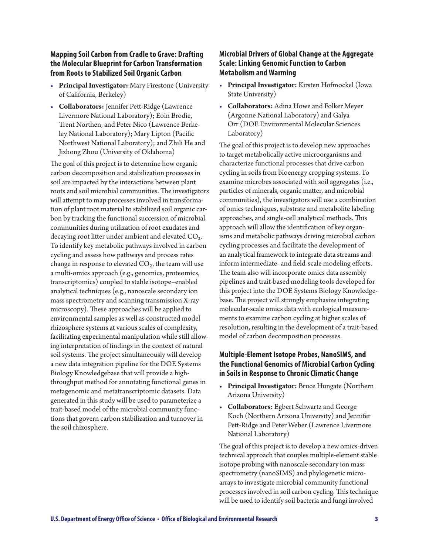#### **Mapping Soil Carbon from Cradle to Grave: Drafting the Molecular Blueprint for Carbon Transformation from Roots to Stabilized Soil Organic Carbon**

- **Principal Investigator:** Mary Firestone (University of California, Berkeley)
- **Collaborators:** Jennifer Pett-Ridge (Lawrence Livermore National Laboratory); Eoin Brodie, Trent Northen, and Peter Nico (Lawrence Berkeley National Laboratory); Mary Lipton (Pacific Northwest National Laboratory); and Zhili He and Jizhong Zhou (University of Oklahoma)

The goal of this project is to determine how organic carbon decomposition and stabilization processes in soil are impacted by the interactions between plant roots and soil microbial communities. The investigators will attempt to map processes involved in transformation of plant root material to stabilized soil organic carbon by tracking the functional succession of microbial communities during utilization of root exudates and decaying root litter under ambient and elevated CO₂. To identify key metabolic pathways involved in carbon cycling and assess how pathways and process rates change in response to elevated  $CO<sub>2</sub>$ , the team will use a multi-omics approach (e.g., genomics, proteomics, transcriptomics) coupled to stable isotope–enabled analytical techniques (e.g., nanoscale secondary ion mass spectrometry and scanning transmission X-ray microscopy). These approaches will be applied to environmental samples as well as constructed model rhizosphere systems at various scales of complexity, facilitating experimental manipulation while still allowing interpretation of findings in the context of natural soil systems. The project simultaneously will develop a new data integration pipeline for the DOE Systems Biology Knowledgebase that will provide a highthroughput method for annotating functional genes in metagenomic and metatranscriptomic datasets. Data generated in this study will be used to parameterize a trait-based model of the microbial community functions that govern carbon stabilization and turnover in the soil rhizosphere.

#### **Microbial Drivers of Global Change at the Aggregate Scale: Linking Genomic Function to Carbon Metabolism and Warming**

- **Principal Investigator:** Kirsten Hofmockel (Iowa State University)
- **Collaborators:** Adina Howe and Folker Meyer (Argonne National Laboratory) and Galya Orr (DOE Environmental Molecular Sciences Laboratory)

The goal of this project is to develop new approaches to target metabolically active microorganisms and characterize functional processes that drive carbon cycling in soils from bioenergy cropping systems. To examine microbes associated with soil aggregates (i.e., particles of minerals, organic matter, and microbial communities), the investigators will use a combination of omics techniques, substrate and metabolite labeling approaches, and single-cell analytical methods. This approach will allow the identification of key organisms and metabolic pathways driving microbial carbon cycling processes and facilitate the development of an analytical framework to integrate data streams and inform intermediate- and field-scale modeling efforts. The team also will incorporate omics data assembly pipelines and trait-based modeling tools developed for this project into the DOE Systems Biology Knowledgebase. The project will strongly emphasize integrating molecular-scale omics data with ecological measurements to examine carbon cycling at higher scales of resolution, resulting in the development of a trait-based model of carbon decomposition processes.

## **Multiple-Element Isotope Probes, NanoSIMS, and the Functional Genomics of Microbial Carbon Cycling in Soils in Response to Chronic Climatic Change**

- **Principal Investigator:** Bruce Hungate (Northern Arizona University)
- **Collaborators:** Egbert Schwartz and George Koch (Northern Arizona University) and Jennifer Pett-Ridge and Peter Weber (Lawrence Livermore National Laboratory)

The goal of this project is to develop a new omics-driven technical approach that couples multiple-element stable isotope probing with nanoscale secondary ion mass spectrometry (nanoSIMS) and phylogenetic microarrays to investigate microbial community functional processes involved in soil carbon cycling. This technique will be used to identify soil bacteria and fungi involved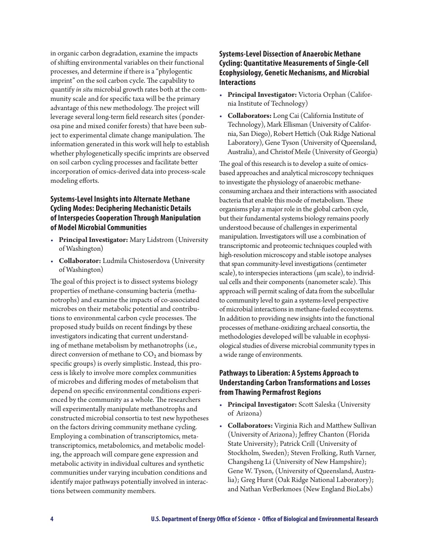in organic carbon degradation, examine the impacts of shifting environmental variables on their functional processes, and determine if there is a "phylogentic imprint" on the soil carbon cycle. The capability to quantify *in situ* microbial growth rates both at the community scale and for specific taxa will be the primary advantage of this new methodology. The project will leverage several long-term field research sites (ponderosa pine and mixed conifer forests) that have been subject to experimental climate change manipulation. The information generated in this work will help to establish whether phylogenetically specific imprints are observed on soil carbon cycling processes and facilitate better incorporation of omics-derived data into process-scale modeling efforts.

## **Systems-Level Insights into Alternate Methane Cycling Modes: Deciphering Mechanistic Details of Interspecies Cooperation Through Manipulation of Model Microbial Communities**

- **Principal Investigator:** Mary Lidstrom (University of Washington)
- **Collaborator:** Ludmila Chistoserdova (University of Washington)

The goal of this project is to dissect systems biology properties of methane-consuming bacteria (methanotrophs) and examine the impacts of co-associated microbes on their metabolic potential and contributions to environmental carbon cycle processes. The proposed study builds on recent findings by these investigators indicating that current understanding of methane metabolism by methanotrophs (i.e., direct conversion of methane to  $CO<sub>2</sub>$  and biomass by specific groups) is overly simplistic. Instead, this process is likely to involve more complex communities of microbes and differing modes of metabolism that depend on specific environmental conditions experienced by the community as a whole. The researchers will experimentally manipulate methanotrophs and constructed microbial consortia to test new hypotheses on the factors driving community methane cycling. Employing a combination of transcriptomics, metatranscriptomics, metabolomics, and metabolic modeling, the approach will compare gene expression and metabolic activity in individual cultures and synthetic communities under varying incubation conditions and identify major pathways potentially involved in interactions between community members.

## **Systems-Level Dissection of Anaerobic Methane Cycling: Quantitative Measurements of Single-Cell Ecophysiology, Genetic Mechanisms, and Microbial Interactions**

- **Principal Investigator:** Victoria Orphan (California Institute of Technology)
- **Collaborators:** Long Cai (California Institute of Technology), Mark Ellisman (University of California, San Diego), Robert Hettich (Oak Ridge National Laboratory), Gene Tyson (University of Queensland, Australia), and Christof Meile (University of Georgia)

The goal of this research is to develop a suite of omicsbased approaches and analytical microscopy techniques to investigate the physiology of anaerobic methaneconsuming archaea and their interactions with associated bacteria that enable this mode of metabolism. These organisms play a major role in the global carbon cycle, but their fundamental systems biology remains poorly understood because of challenges in experimental manipulation. Investigators will use a combination of transcriptomic and proteomic techniques coupled with high-resolution microscopy and stable isotope analyses that span community-level investigations (centimeter scale), to interspecies interactions (μm scale), to individual cells and their components (nanometer scale). This approach will permit scaling of data from the subcellular to community level to gain a systems-level perspective of microbial interactions in methane-fueled ecosystems. In addition to providing new insights into the functional processes of methane-oxidizing archaeal consortia, the methodologies developed will be valuable in ecophysiological studies of diverse microbial community types in a wide range of environments.

## **Pathways to Liberation: A Systems Approach to Understanding Carbon Transformations and Losses from Thawing Permafrost Regions**

- **Principal Investigator:** Scott Saleska (University of Arizona)
- **Collaborators:** Virginia Rich and Matthew Sullivan (University of Arizona); Jeffrey Chanton (Florida State University); Patrick Crill (University of Stockholm, Sweden); Steven Frolking, Ruth Varner, Changsheng Li (University of New Hampshire); Gene W. Tyson, (University of Queensland, Australia); Greg Hurst (Oak Ridge National Laboratory); and Nathan VerBerkmoes (New England BioLabs)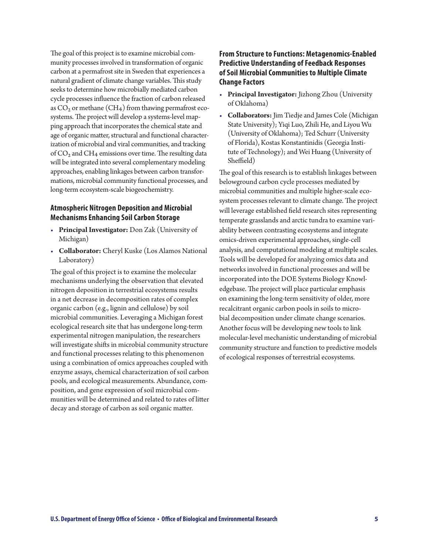The goal of this project is to examine microbial community processes involved in transformation of organic carbon at a permafrost site in Sweden that experiences a natural gradient of climate change variables. This study seeks to determine how microbially mediated carbon cycle processes influence the fraction of carbon released as  $CO<sub>2</sub>$  or methane (CH<sub>4</sub>) from thawing permafrost ecosystems. The project will develop a systems-level mapping approach that incorporates the chemical state and age of organic matter, structural and functional characterization of microbial and viral communities, and tracking of CO<sub>2</sub> and CH<sub>4</sub> emissions over time. The resulting data will be integrated into several complementary modeling approaches, enabling linkages between carbon transformations, microbial community functional processes, and long-term ecosystem-scale biogeochemistry.

#### **Atmospheric Nitrogen Deposition and Microbial Mechanisms Enhancing Soil Carbon Storage**

- **Principal Investigator:** Don Zak (University of Michigan)
- **Collaborator:** Cheryl Kuske (Los Alamos National Laboratory)

The goal of this project is to examine the molecular mechanisms underlying the observation that elevated nitrogen deposition in terrestrial ecosystems results in a net decrease in decomposition rates of complex organic carbon (e.g., lignin and cellulose) by soil microbial communities. Leveraging a Michigan forest ecological research site that has undergone long-term experimental nitrogen manipulation, the researchers will investigate shifts in microbial community structure and functional processes relating to this phenomenon using a combination of omics approaches coupled with enzyme assays, chemical characterization of soil carbon pools, and ecological measurements. Abundance, composition, and gene expression of soil microbial communities will be determined and related to rates of litter decay and storage of carbon as soil organic matter.

### **From Structure to Functions: Metagenomics-Enabled Predictive Understanding of Feedback Responses of Soil Microbial Communities to Multiple Climate Change Factors**

- **Principal Investigator:** Jizhong Zhou (University of Oklahoma)
- **Collaborators:** Jim Tiedje and James Cole (Michigan State University); Yiqi Luo, Zhili He, and Liyou Wu (University of Oklahoma); Ted Schurr (University of Florida), Kostas Konstantinidis (Georgia Institute of Technology); and Wei Huang (University of Sheffield)

The goal of this research is to establish linkages between belowground carbon cycle processes mediated by microbial communities and multiple higher-scale ecosystem processes relevant to climate change. The project will leverage established field research sites representing temperate grasslands and arctic tundra to examine variability between contrasting ecosystems and integrate omics-driven experimental approaches, single-cell analysis, and computational modeling at multiple scales. Tools will be developed for analyzing omics data and networks involved in functional processes and will be incorporated into the DOE Systems Biology Knowledgebase. The project will place particular emphasis on examining the long-term sensitivity of older, more recalcitrant organic carbon pools in soils to microbial decomposition under climate change scenarios. Another focus will be developing new tools to link molecular-level mechanistic understanding of microbial community structure and function to predictive models of ecological responses of terrestrial ecosystems.